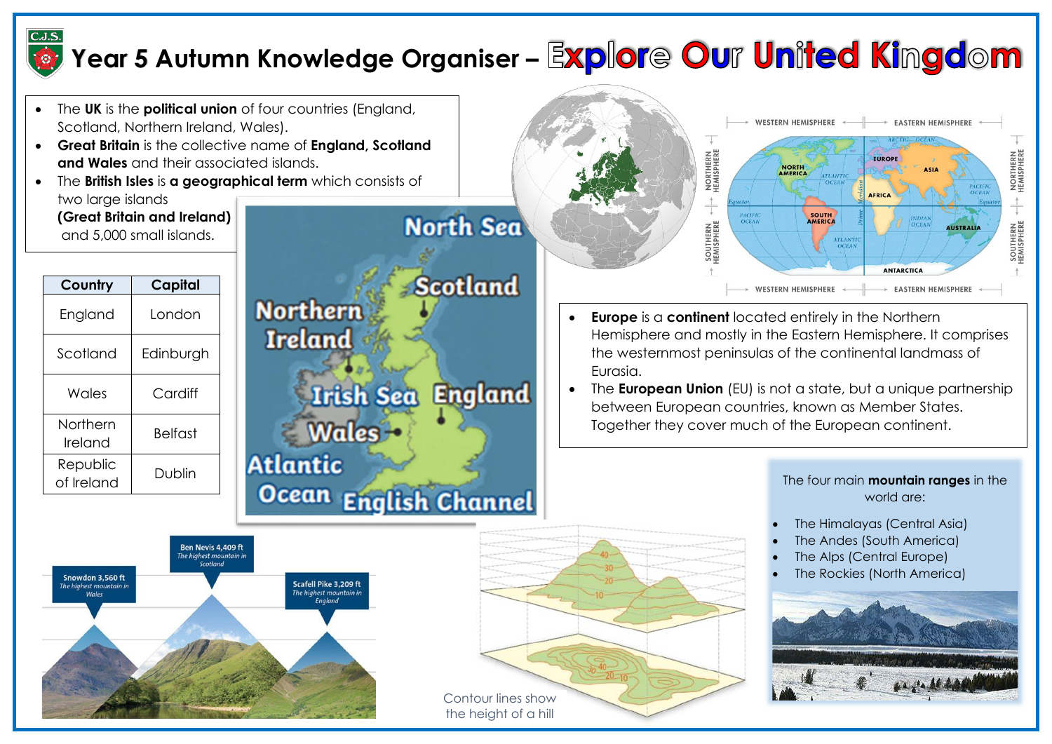

## **Year 5 Autumn Knowledge Organiser –**

- The **UK** is the **political union** of four countries (England, Scotland, Northern Ireland, Wales).
- **Great Britain** is the collective name of **England, Scotland and Wales** and their associated islands.
- The **British Isles** is **a geographical term** which consists of two large islands

**(Great Britain and Ireland)** and 5,000 small islands.

| Capital   |  |
|-----------|--|
| London    |  |
| Edinburgh |  |
| Cardiff   |  |
| Belfast   |  |
| Dublin    |  |
|           |  |





- **Europe** is a **continent** located entirely in the Northern Hemisphere and mostly in the Eastern Hemisphere. It comprises the westernmost peninsulas of the continental landmass of Eurasia.
- The **European Union** (EU) is not a state, but a unique partnership between European countries, known as Member States. Together they cover much of the European continent.



the height of a hill